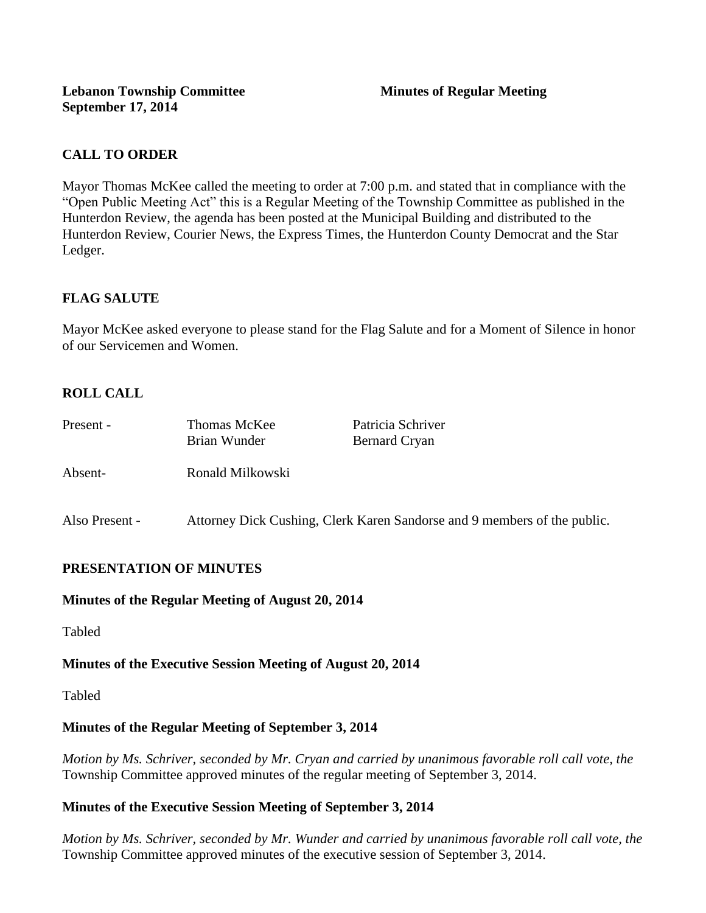## **CALL TO ORDER**

Mayor Thomas McKee called the meeting to order at 7:00 p.m. and stated that in compliance with the "Open Public Meeting Act" this is a Regular Meeting of the Township Committee as published in the Hunterdon Review, the agenda has been posted at the Municipal Building and distributed to the Hunterdon Review, Courier News, the Express Times, the Hunterdon County Democrat and the Star Ledger.

## **FLAG SALUTE**

Mayor McKee asked everyone to please stand for the Flag Salute and for a Moment of Silence in honor of our Servicemen and Women.

# **ROLL CALL**

| Present -      | <b>Thomas McKee</b><br>Brian Wunder                                      | Patricia Schriver<br><b>Bernard Cryan</b> |
|----------------|--------------------------------------------------------------------------|-------------------------------------------|
| Absent-        | Ronald Milkowski                                                         |                                           |
| Also Present - | Attorney Dick Cushing, Clerk Karen Sandorse and 9 members of the public. |                                           |

## **PRESENTATION OF MINUTES**

### **Minutes of the Regular Meeting of August 20, 2014**

Tabled

## **Minutes of the Executive Session Meeting of August 20, 2014**

Tabled

## **Minutes of the Regular Meeting of September 3, 2014**

*Motion by Ms. Schriver, seconded by Mr. Cryan and carried by unanimous favorable roll call vote, the*  Township Committee approved minutes of the regular meeting of September 3, 2014.

## **Minutes of the Executive Session Meeting of September 3, 2014**

*Motion by Ms. Schriver, seconded by Mr. Wunder and carried by unanimous favorable roll call vote, the*  Township Committee approved minutes of the executive session of September 3, 2014.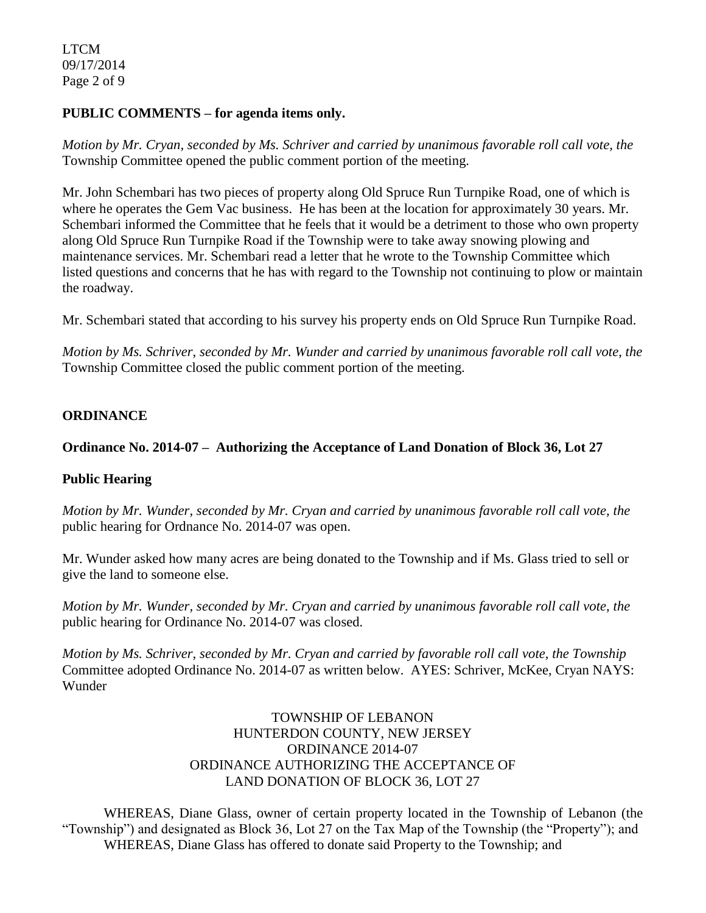LTCM 09/17/2014 Page 2 of 9

### **PUBLIC COMMENTS – for agenda items only.**

*Motion by Mr. Cryan, seconded by Ms. Schriver and carried by unanimous favorable roll call vote, the* Township Committee opened the public comment portion of the meeting.

Mr. John Schembari has two pieces of property along Old Spruce Run Turnpike Road, one of which is where he operates the Gem Vac business. He has been at the location for approximately 30 years. Mr. Schembari informed the Committee that he feels that it would be a detriment to those who own property along Old Spruce Run Turnpike Road if the Township were to take away snowing plowing and maintenance services. Mr. Schembari read a letter that he wrote to the Township Committee which listed questions and concerns that he has with regard to the Township not continuing to plow or maintain the roadway.

Mr. Schembari stated that according to his survey his property ends on Old Spruce Run Turnpike Road.

*Motion by Ms. Schriver, seconded by Mr. Wunder and carried by unanimous favorable roll call vote, the* Township Committee closed the public comment portion of the meeting.

### **ORDINANCE**

### **Ordinance No. 2014-07 – Authorizing the Acceptance of Land Donation of Block 36, Lot 27**

### **Public Hearing**

*Motion by Mr. Wunder, seconded by Mr. Cryan and carried by unanimous favorable roll call vote, the* public hearing for Ordnance No. 2014-07 was open.

Mr. Wunder asked how many acres are being donated to the Township and if Ms. Glass tried to sell or give the land to someone else.

*Motion by Mr. Wunder, seconded by Mr. Cryan and carried by unanimous favorable roll call vote, the* public hearing for Ordinance No. 2014-07 was closed.

*Motion by Ms. Schriver, seconded by Mr. Cryan and carried by favorable roll call vote, the Township* Committee adopted Ordinance No. 2014-07 as written below. AYES: Schriver, McKee, Cryan NAYS: Wunder

## TOWNSHIP OF LEBANON HUNTERDON COUNTY, NEW JERSEY ORDINANCE 2014-07 ORDINANCE AUTHORIZING THE ACCEPTANCE OF LAND DONATION OF BLOCK 36, LOT 27

WHEREAS, Diane Glass, owner of certain property located in the Township of Lebanon (the "Township") and designated as Block 36, Lot 27 on the Tax Map of the Township (the "Property"); and WHEREAS, Diane Glass has offered to donate said Property to the Township; and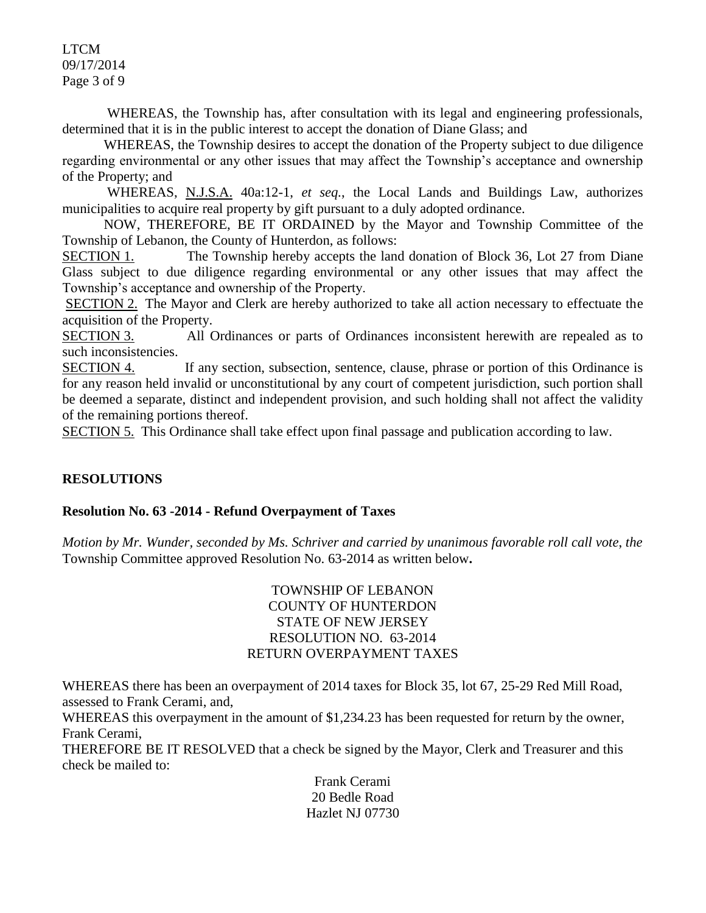LTCM 09/17/2014 Page 3 of 9

WHEREAS, the Township has, after consultation with its legal and engineering professionals, determined that it is in the public interest to accept the donation of Diane Glass; and

WHEREAS, the Township desires to accept the donation of the Property subject to due diligence regarding environmental or any other issues that may affect the Township's acceptance and ownership of the Property; and

WHEREAS, N.J.S.A. 40a:12-1, *et seq.*, the Local Lands and Buildings Law, authorizes municipalities to acquire real property by gift pursuant to a duly adopted ordinance.

NOW, THEREFORE, BE IT ORDAINED by the Mayor and Township Committee of the Township of Lebanon, the County of Hunterdon, as follows:

SECTION 1. The Township hereby accepts the land donation of Block 36, Lot 27 from Diane Glass subject to due diligence regarding environmental or any other issues that may affect the Township's acceptance and ownership of the Property.

SECTION 2. The Mayor and Clerk are hereby authorized to take all action necessary to effectuate the acquisition of the Property.

SECTION 3. All Ordinances or parts of Ordinances inconsistent herewith are repealed as to such inconsistencies.

SECTION 4. If any section, subsection, sentence, clause, phrase or portion of this Ordinance is for any reason held invalid or unconstitutional by any court of competent jurisdiction, such portion shall be deemed a separate, distinct and independent provision, and such holding shall not affect the validity of the remaining portions thereof.

SECTION 5. This Ordinance shall take effect upon final passage and publication according to law.

## **RESOLUTIONS**

### **Resolution No. 63 -2014 - Refund Overpayment of Taxes**

*Motion by Mr. Wunder, seconded by Ms. Schriver and carried by unanimous favorable roll call vote*, *the* Township Committee approved Resolution No. 63-2014 as written below**.** 

## TOWNSHIP OF LEBANON COUNTY OF HUNTERDON STATE OF NEW JERSEY RESOLUTION NO. 63-2014 RETURN OVERPAYMENT TAXES

WHEREAS there has been an overpayment of 2014 taxes for Block 35, lot 67, 25-29 Red Mill Road, assessed to Frank Cerami, and,

WHEREAS this overpayment in the amount of \$1,234.23 has been requested for return by the owner, Frank Cerami,

THEREFORE BE IT RESOLVED that a check be signed by the Mayor, Clerk and Treasurer and this check be mailed to:

> Frank Cerami 20 Bedle Road Hazlet NJ 07730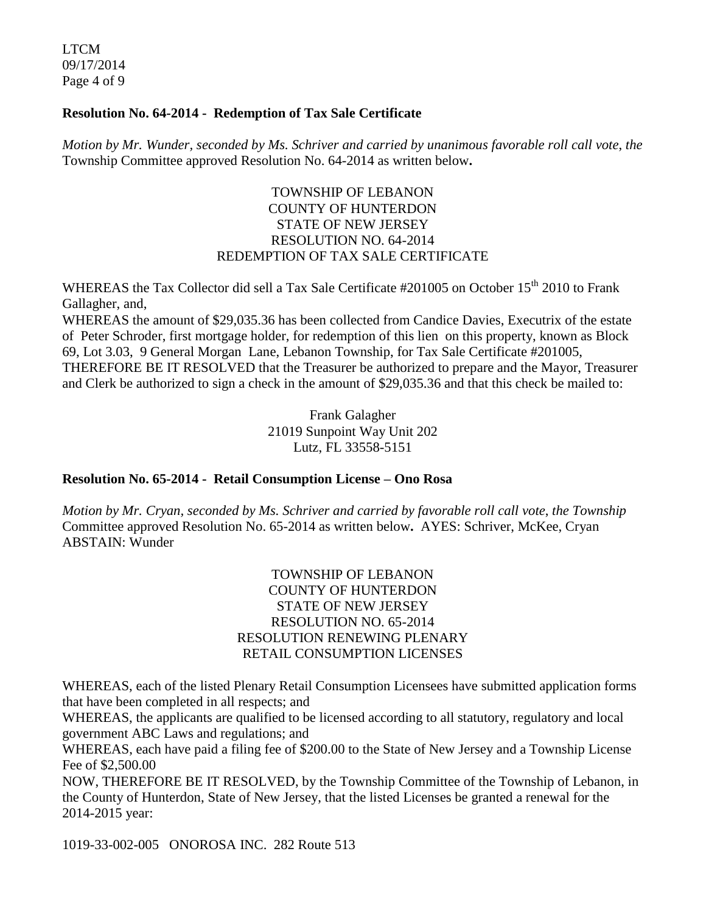LTCM 09/17/2014 Page 4 of 9

### **Resolution No. 64-2014 - Redemption of Tax Sale Certificate**

*Motion by Mr. Wunder, seconded by Ms. Schriver and carried by unanimous favorable roll call vote*, *the* Township Committee approved Resolution No. 64-2014 as written below**.** 

## TOWNSHIP OF LEBANON COUNTY OF HUNTERDON STATE OF NEW JERSEY RESOLUTION NO. 64-2014 REDEMPTION OF TAX SALE CERTIFICATE

WHEREAS the Tax Collector did sell a Tax Sale Certificate #201005 on October 15<sup>th</sup> 2010 to Frank Gallagher, and,

WHEREAS the amount of \$29,035.36 has been collected from Candice Davies, Executrix of the estate of Peter Schroder, first mortgage holder, for redemption of this lien on this property, known as Block 69, Lot 3.03, 9 General Morgan Lane, Lebanon Township, for Tax Sale Certificate #201005, THEREFORE BE IT RESOLVED that the Treasurer be authorized to prepare and the Mayor, Treasurer and Clerk be authorized to sign a check in the amount of \$29,035.36 and that this check be mailed to:

> Frank Galagher 21019 Sunpoint Way Unit 202 Lutz, FL 33558-5151

## **Resolution No. 65-2014 - Retail Consumption License – Ono Rosa**

*Motion by Mr. Cryan, seconded by Ms. Schriver and carried by favorable roll call vote, the Township* Committee approved Resolution No. 65-2014 as written below**.** AYES: Schriver, McKee, Cryan ABSTAIN: Wunder

## TOWNSHIP OF LEBANON COUNTY OF HUNTERDON STATE OF NEW JERSEY RESOLUTION NO. 65-2014 RESOLUTION RENEWING PLENARY RETAIL CONSUMPTION LICENSES

WHEREAS, each of the listed Plenary Retail Consumption Licensees have submitted application forms that have been completed in all respects; and

WHEREAS, the applicants are qualified to be licensed according to all statutory, regulatory and local government ABC Laws and regulations; and

WHEREAS, each have paid a filing fee of \$200.00 to the State of New Jersey and a Township License Fee of \$2,500.00

NOW, THEREFORE BE IT RESOLVED, by the Township Committee of the Township of Lebanon, in the County of Hunterdon, State of New Jersey, that the listed Licenses be granted a renewal for the 2014-2015 year:

1019-33-002-005 ONOROSA INC. 282 Route 513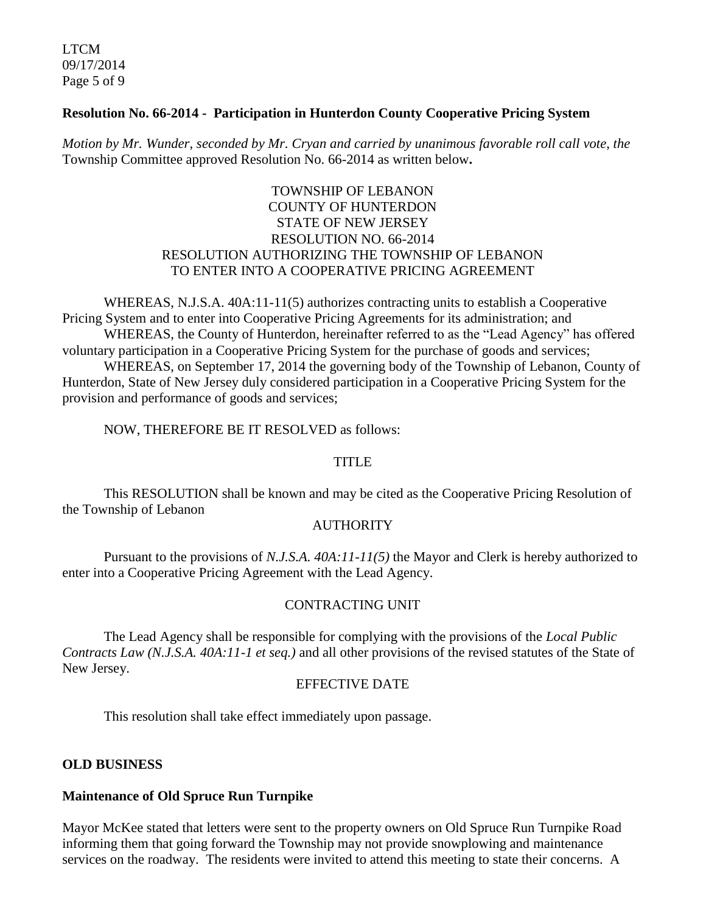LTCM 09/17/2014 Page 5 of 9

### **Resolution No. 66-2014 - Participation in Hunterdon County Cooperative Pricing System**

*Motion by Mr. Wunder, seconded by Mr. Cryan and carried by unanimous favorable roll call vote*, *the* Township Committee approved Resolution No. 66-2014 as written below**.** 

## TOWNSHIP OF LEBANON COUNTY OF HUNTERDON STATE OF NEW JERSEY RESOLUTION NO. 66-2014 RESOLUTION AUTHORIZING THE TOWNSHIP OF LEBANON TO ENTER INTO A COOPERATIVE PRICING AGREEMENT

WHEREAS, N.J.S.A. 40A:11-11(5) authorizes contracting units to establish a Cooperative Pricing System and to enter into Cooperative Pricing Agreements for its administration; and WHEREAS, the County of Hunterdon, hereinafter referred to as the "Lead Agency" has offered voluntary participation in a Cooperative Pricing System for the purchase of goods and services;

WHEREAS, on September 17, 2014 the governing body of the Township of Lebanon, County of Hunterdon, State of New Jersey duly considered participation in a Cooperative Pricing System for the provision and performance of goods and services;

NOW, THEREFORE BE IT RESOLVED as follows:

#### **TITLE**

This RESOLUTION shall be known and may be cited as the Cooperative Pricing Resolution of the Township of Lebanon

#### **AUTHORITY**

Pursuant to the provisions of *N.J.S.A. 40A:11-11(5)* the Mayor and Clerk is hereby authorized to enter into a Cooperative Pricing Agreement with the Lead Agency.

### CONTRACTING UNIT

The Lead Agency shall be responsible for complying with the provisions of the *Local Public Contracts Law (N.J.S.A. 40A:11-1 et seq.)* and all other provisions of the revised statutes of the State of New Jersey.

#### EFFECTIVE DATE

This resolution shall take effect immediately upon passage.

#### **OLD BUSINESS**

#### **Maintenance of Old Spruce Run Turnpike**

Mayor McKee stated that letters were sent to the property owners on Old Spruce Run Turnpike Road informing them that going forward the Township may not provide snowplowing and maintenance services on the roadway. The residents were invited to attend this meeting to state their concerns. A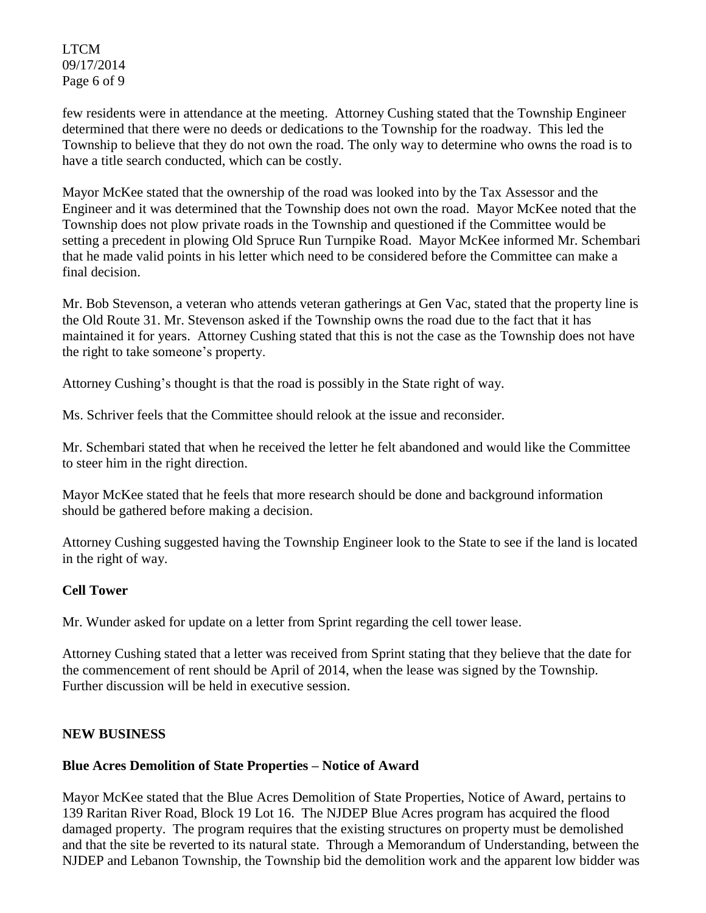LTCM 09/17/2014 Page 6 of 9

few residents were in attendance at the meeting. Attorney Cushing stated that the Township Engineer determined that there were no deeds or dedications to the Township for the roadway. This led the Township to believe that they do not own the road. The only way to determine who owns the road is to have a title search conducted, which can be costly.

Mayor McKee stated that the ownership of the road was looked into by the Tax Assessor and the Engineer and it was determined that the Township does not own the road. Mayor McKee noted that the Township does not plow private roads in the Township and questioned if the Committee would be setting a precedent in plowing Old Spruce Run Turnpike Road. Mayor McKee informed Mr. Schembari that he made valid points in his letter which need to be considered before the Committee can make a final decision.

Mr. Bob Stevenson, a veteran who attends veteran gatherings at Gen Vac, stated that the property line is the Old Route 31. Mr. Stevenson asked if the Township owns the road due to the fact that it has maintained it for years. Attorney Cushing stated that this is not the case as the Township does not have the right to take someone's property.

Attorney Cushing's thought is that the road is possibly in the State right of way.

Ms. Schriver feels that the Committee should relook at the issue and reconsider.

Mr. Schembari stated that when he received the letter he felt abandoned and would like the Committee to steer him in the right direction.

Mayor McKee stated that he feels that more research should be done and background information should be gathered before making a decision.

Attorney Cushing suggested having the Township Engineer look to the State to see if the land is located in the right of way.

## **Cell Tower**

Mr. Wunder asked for update on a letter from Sprint regarding the cell tower lease.

Attorney Cushing stated that a letter was received from Sprint stating that they believe that the date for the commencement of rent should be April of 2014, when the lease was signed by the Township. Further discussion will be held in executive session.

### **NEW BUSINESS**

### **Blue Acres Demolition of State Properties – Notice of Award**

Mayor McKee stated that the Blue Acres Demolition of State Properties, Notice of Award, pertains to 139 Raritan River Road, Block 19 Lot 16. The NJDEP Blue Acres program has acquired the flood damaged property. The program requires that the existing structures on property must be demolished and that the site be reverted to its natural state. Through a Memorandum of Understanding, between the NJDEP and Lebanon Township, the Township bid the demolition work and the apparent low bidder was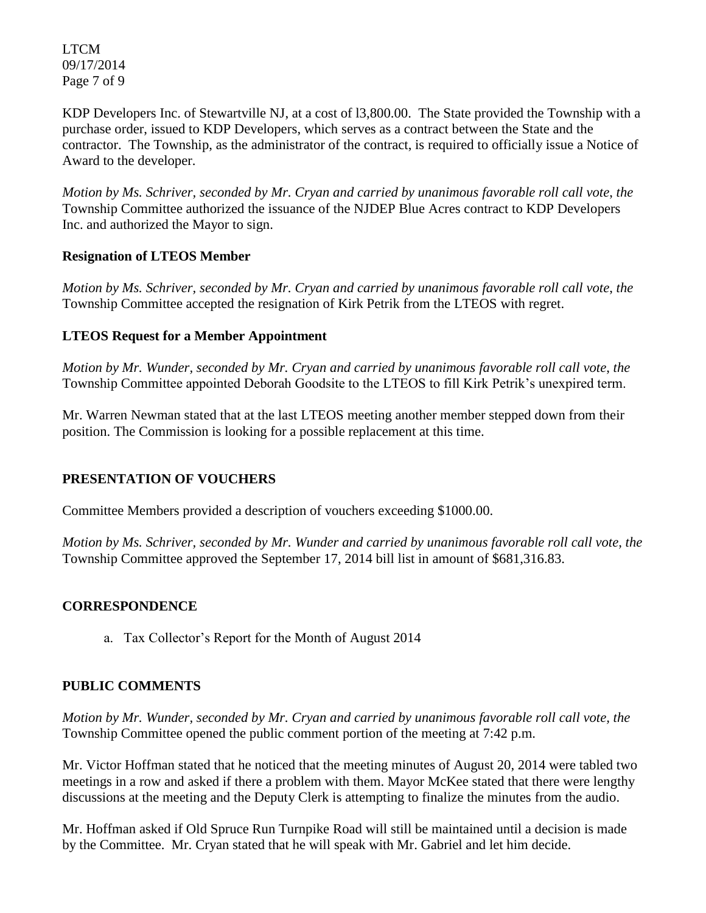LTCM 09/17/2014 Page 7 of 9

KDP Developers Inc. of Stewartville NJ, at a cost of l3,800.00. The State provided the Township with a purchase order, issued to KDP Developers, which serves as a contract between the State and the contractor. The Township, as the administrator of the contract, is required to officially issue a Notice of Award to the developer.

*Motion by Ms. Schriver, seconded by Mr. Cryan and carried by unanimous favorable roll call vote*, *the* Township Committee authorized the issuance of the NJDEP Blue Acres contract to KDP Developers Inc. and authorized the Mayor to sign.

## **Resignation of LTEOS Member**

*Motion by Ms. Schriver, seconded by Mr. Cryan and carried by unanimous favorable roll call vote*, *the* Township Committee accepted the resignation of Kirk Petrik from the LTEOS with regret.

## **LTEOS Request for a Member Appointment**

*Motion by Mr. Wunder, seconded by Mr. Cryan and carried by unanimous favorable roll call vote*, *the* Township Committee appointed Deborah Goodsite to the LTEOS to fill Kirk Petrik's unexpired term.

Mr. Warren Newman stated that at the last LTEOS meeting another member stepped down from their position. The Commission is looking for a possible replacement at this time.

## **PRESENTATION OF VOUCHERS**

Committee Members provided a description of vouchers exceeding \$1000.00.

*Motion by Ms. Schriver, seconded by Mr. Wunder and carried by unanimous favorable roll call vote, the* Township Committee approved the September 17, 2014 bill list in amount of \$681,316.83.

## **CORRESPONDENCE**

a. Tax Collector's Report for the Month of August 2014

## **PUBLIC COMMENTS**

*Motion by Mr. Wunder, seconded by Mr. Cryan and carried by unanimous favorable roll call vote, the* Township Committee opened the public comment portion of the meeting at 7:42 p.m.

Mr. Victor Hoffman stated that he noticed that the meeting minutes of August 20, 2014 were tabled two meetings in a row and asked if there a problem with them. Mayor McKee stated that there were lengthy discussions at the meeting and the Deputy Clerk is attempting to finalize the minutes from the audio.

Mr. Hoffman asked if Old Spruce Run Turnpike Road will still be maintained until a decision is made by the Committee. Mr. Cryan stated that he will speak with Mr. Gabriel and let him decide.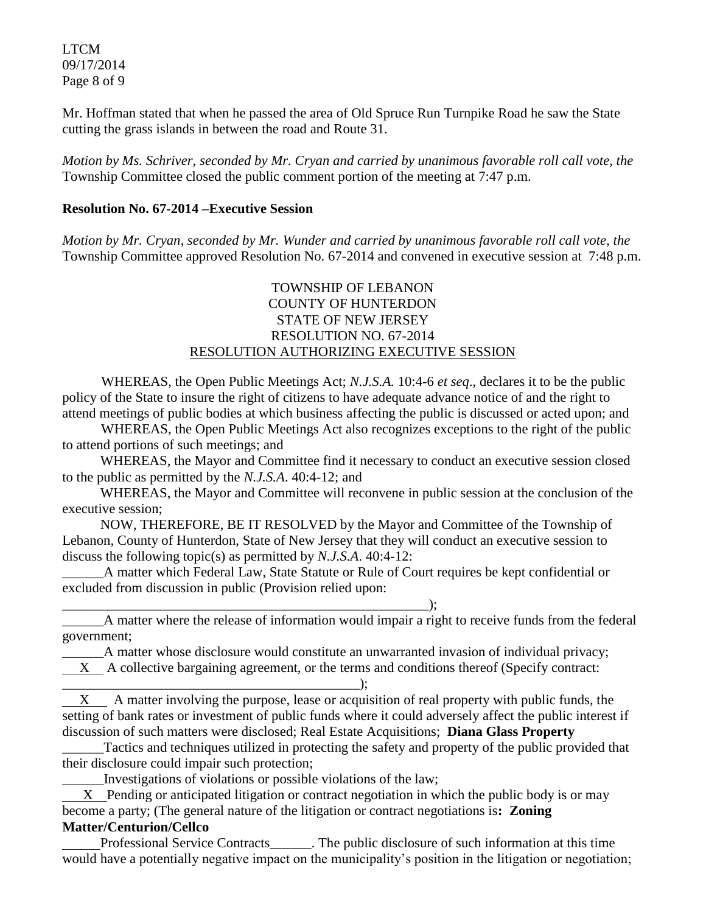LTCM 09/17/2014 Page 8 of 9

Mr. Hoffman stated that when he passed the area of Old Spruce Run Turnpike Road he saw the State cutting the grass islands in between the road and Route 31.

*Motion by Ms. Schriver, seconded by Mr. Cryan and carried by unanimous favorable roll call vote, the* Township Committee closed the public comment portion of the meeting at 7:47 p.m.

### **Resolution No. 67-2014 –Executive Session**

*Motion by Mr. Cryan, seconded by Mr. Wunder and carried by unanimous favorable roll call vote, the* Township Committee approved Resolution No. 67-2014 and convened in executive session at 7:48 p.m.

## TOWNSHIP OF LEBANON COUNTY OF HUNTERDON STATE OF NEW JERSEY RESOLUTION NO. 67-2014 RESOLUTION AUTHORIZING EXECUTIVE SESSION

WHEREAS, the Open Public Meetings Act; *N.J.S.A.* 10:4-6 *et seq*., declares it to be the public policy of the State to insure the right of citizens to have adequate advance notice of and the right to attend meetings of public bodies at which business affecting the public is discussed or acted upon; and

WHEREAS, the Open Public Meetings Act also recognizes exceptions to the right of the public to attend portions of such meetings; and

 WHEREAS, the Mayor and Committee find it necessary to conduct an executive session closed to the public as permitted by the *N.J.S.A*. 40:4-12; and

 WHEREAS, the Mayor and Committee will reconvene in public session at the conclusion of the executive session;

 NOW, THEREFORE, BE IT RESOLVED by the Mayor and Committee of the Township of Lebanon, County of Hunterdon, State of New Jersey that they will conduct an executive session to discuss the following topic(s) as permitted by *N.J.S.A*. 40:4-12:

\_\_\_\_\_\_A matter which Federal Law, State Statute or Rule of Court requires be kept confidential or excluded from discussion in public (Provision relied upon:

\_\_\_\_\_\_\_\_\_\_\_\_\_\_\_\_\_\_\_\_\_\_\_\_\_\_\_\_\_\_\_\_\_\_\_\_\_\_\_\_\_\_\_\_\_\_\_\_\_\_\_\_\_);

\_\_\_\_\_\_A matter where the release of information would impair a right to receive funds from the federal government;

\_\_\_\_\_\_A matter whose disclosure would constitute an unwarranted invasion of individual privacy; X A collective bargaining agreement, or the terms and conditions thereof (Specify contract: \_\_\_\_\_\_\_\_\_\_\_\_\_\_\_\_\_\_\_\_\_\_\_\_\_\_\_\_\_\_\_\_\_\_\_\_\_\_\_\_\_\_\_);

X A matter involving the purpose, lease or acquisition of real property with public funds, the setting of bank rates or investment of public funds where it could adversely affect the public interest if discussion of such matters were disclosed; Real Estate Acquisitions; **Diana Glass Property**

Tactics and techniques utilized in protecting the safety and property of the public provided that their disclosure could impair such protection;

\_\_\_\_\_\_Investigations of violations or possible violations of the law;

 X Pending or anticipated litigation or contract negotiation in which the public body is or may become a party; (The general nature of the litigation or contract negotiations is**: Zoning Matter/Centurion/Cellco**

 Professional Service Contracts\_\_\_\_\_\_. The public disclosure of such information at this time would have a potentially negative impact on the municipality's position in the litigation or negotiation;